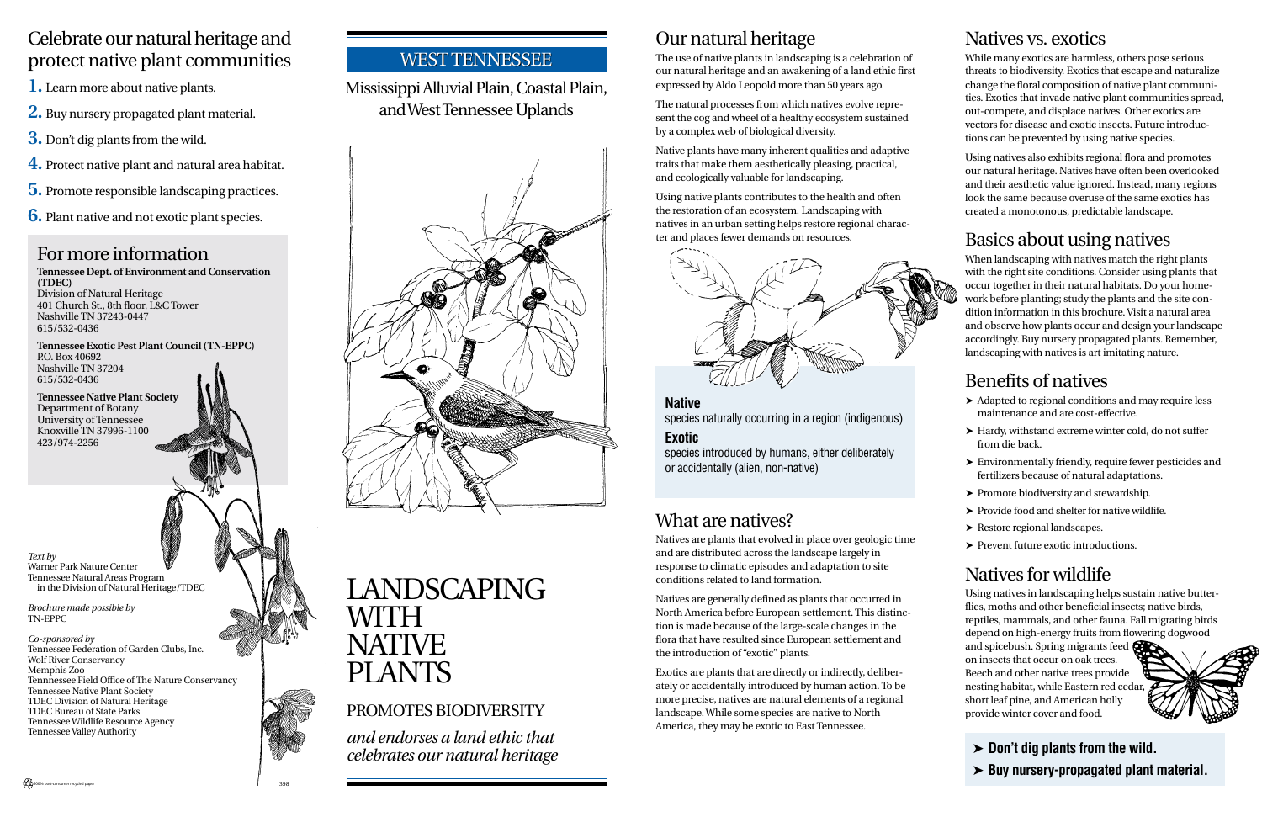### Our natural heritage

The use of native plants in landscaping is a celebration of our natural heritage and an awakening of a land ethic first expressed by Aldo Leopold more than 50 years ago.

The natural processes from which natives evolve represent the cog and wheel of a healthy ecosystem sustained by a complex web of biological diversity.

Native plants have many inherent qualities and adaptive traits that make them aesthetically pleasing, practical, and ecologically valuable for landscaping.

Using native plants contributes to the health and often the restoration of an ecosystem. Landscaping with natives in an urban setting helps restore regional character and places fewer demands on resources.

### For more information

**Tennessee Dept. of Environment and Conservation (TDEC)** Division of Natural Heritage 401 Church St., 8th floor, L&C Tower Nashville TN 37243-0447 615/532-0436

**Tennessee Exotic Pest Plant Council (TN-EPPC)** P.O. Box 40692 Nashville TN 37204 615/532-0436

**Tennessee Native Plant Society** Department of Botany University of Tennessee Knoxville TN 37996-1100 423/974-2256

#### Celebrate our natural heritage and protect native plant communities

- **1.** Learn more about native plants.
- **2.** Buy nursery propagated plant material.
- **3.** Don't dig plants from the wild.
- **4.** Protect native plant and natural area habitat.
- **5.** Promote responsible landscaping practices.
- **6.** Plant native and not exotic plant species.

#### Mississippi Alluvial Plain, Coastal Plain, and West Tennessee Uplands



## LANDSCAPING WITH NATIVE PLANTS

#### PROMOTES BIODIVERSITY

*and endorses a land ethic that celebrates our natural heritage*

### What are natives?

Natives are plants that evolved in place over geologic time and are distributed across the landscape largely in response to climatic episodes and adaptation to site conditions related to land formation.

Natives are generally defined as plants that occurred in North America before European settlement. This distinction is made because of the large-scale changes in the flora that have resulted since European settlement and the introduction of "exotic" plants.

Exotics are plants that are directly or indirectly, deliberately or accidentally introduced by human action. To be more precise, natives are natural elements of a regional landscape. While some species are native to North America, they may be exotic to East Tennessee.

**Native** species naturally occurring in a region (indigenous)

#### **Exotic**

species introduced by humans, either deliberately or accidentally (alien, non-native)

#### Natives vs. exotics

While many exotics are harmless, others pose serious threats to biodiversity. Exotics that escape and naturalize change the floral composition of native plant communities. Exotics that invade native plant communities spread, out-compete, and displace natives. Other exotics are vectors for disease and exotic insects. Future introductions can be prevented by using native species.

Using natives also exhibits regional flora and promotes our natural heritage. Natives have often been overlooked and their aesthetic value ignored. Instead, many regions look the same because overuse of the same exotics has created a monotonous, predictable landscape.

### Basics about using natives



When landscaping with natives match the right plants with the right site conditions. Consider using plants that occur together in their natural habitats. Do your homework before planting; study the plants and the site condition information in this brochure. Visit a natural area and observe how plants occur and design your landscape accordingly. Buy nursery propagated plants. Remember, landscaping with natives is art imitating nature.

### Benefits of natives

- ➤ Adapted to regional conditions and may require less maintenance and are cost-effective.
- ➤ Hardy, withstand extreme winter cold, do not suffer from die back.
- ➤ Environmentally friendly, require fewer pesticides and fertilizers because of natural adaptations.
- ➤ Promote biodiversity and stewardship.
- ➤ Provide food and shelter for native wildlife.
- ➤ Restore regional landscapes.
- ➤ Prevent future exotic introductions.

### Natives for wildlife

Using natives in landscaping helps sustain native butterflies, moths and other beneficial insects; native birds, reptiles, mammals, and other fauna. Fall migrating birds depend on high-energy fruits from flowering dogwood

and spicebush. Spring migrants feed on insects that occur on oak trees. Beech and other native trees provide nesting habitat, while Eastern red cedar, short leaf pine, and American holly provide winter cover and food.



➤ **Don't dig plants from the wild.** ➤ **Buy nursery-propagated plant material.**

*Text by* Warner Park Nature Center Tennessee Natural Areas Program in the Division of Natural Heritage/TDEC

*Brochure made possible by* TN-EPPC

*Co-sponsored by* Tennessee Federation of Garden Clubs, Inc. Wolf River Conservancy Memphis Zoo Tennnessee Field Office of The Nature Conservancy Tennessee Native Plant Society TDEC Division of Natural Heritage TDEC Bureau of State Parks Tennessee Wildlife Resource Agency Tennessee Valley Authority

#### WEST TENNESSEE